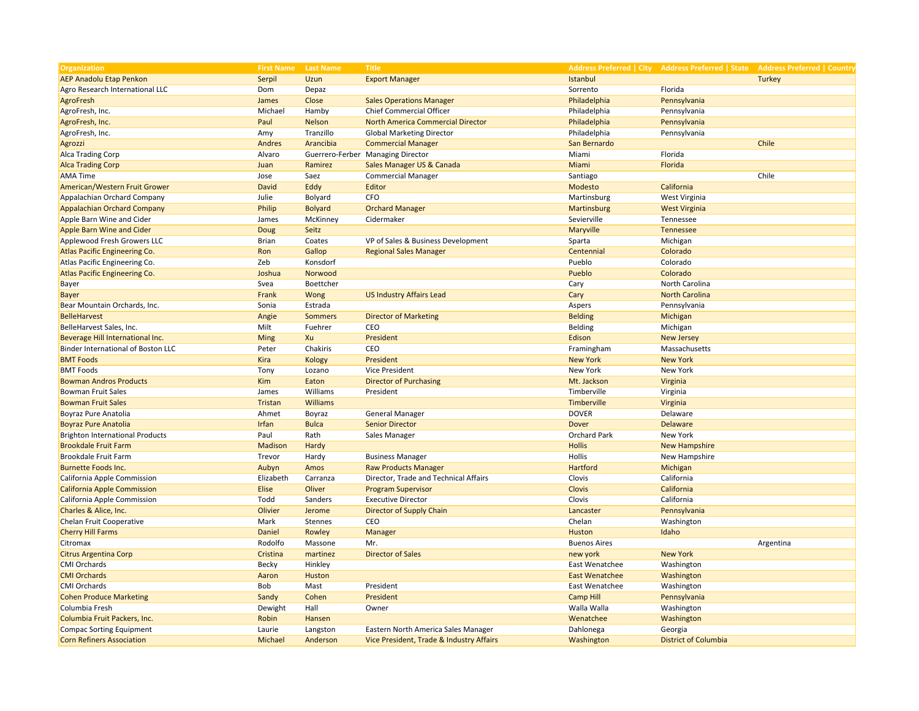| <b>Organization</b>                    | <b>First Name</b> Last Name |                | <b>Title</b>                             |                       |                             | Address Preferred   City Address Preferred   State Address Preferred   Country |
|----------------------------------------|-----------------------------|----------------|------------------------------------------|-----------------------|-----------------------------|--------------------------------------------------------------------------------|
| <b>AEP Anadolu Etap Penkon</b>         | Serpil                      | Uzun           | <b>Export Manager</b>                    | Istanbul              |                             | <b>Turkey</b>                                                                  |
| Agro Research International LLC        | Dom                         | Depaz          |                                          | Sorrento              | Florida                     |                                                                                |
| <b>AgroFresh</b>                       | James                       | Close          | <b>Sales Operations Manager</b>          | Philadelphia          | Pennsylvania                |                                                                                |
| AgroFresh, Inc.                        | Michael                     | Hamby          | Chief Commercial Officer                 | Philadelphia          | Pennsylvania                |                                                                                |
| AgroFresh, Inc.                        | Paul                        | <b>Nelson</b>  | <b>North America Commercial Director</b> | Philadelphia          | Pennsylvania                |                                                                                |
| AgroFresh, Inc.                        | Amy                         | Tranzillo      | <b>Global Marketing Director</b>         | Philadelphia          | Pennsylvania                |                                                                                |
| Agrozzi                                | Andres                      | Arancibia      | <b>Commercial Manager</b>                | San Bernardo          |                             | Chile                                                                          |
| Alca Trading Corp                      | Alvaro                      |                | Guerrero-Ferber Managing Director        | Miami                 | Florida                     |                                                                                |
| <b>Alca Trading Corp</b>               | Juan                        | Ramirez        | Sales Manager US & Canada                | Miami                 | Florida                     |                                                                                |
| <b>AMA Time</b>                        | Jose                        | Saez           | <b>Commercial Manager</b>                | Santiago              |                             | Chile                                                                          |
| American/Western Fruit Grower          | <b>David</b>                | Eddy           | Editor                                   | Modesto               | California                  |                                                                                |
| Appalachian Orchard Company            | Julie                       | Bolyard        | CFO                                      | Martinsburg           | West Virginia               |                                                                                |
| <b>Appalachian Orchard Company</b>     | Philip                      | <b>Bolyard</b> | <b>Orchard Manager</b>                   | Martinsburg           | <b>West Virginia</b>        |                                                                                |
| Apple Barn Wine and Cider              | James                       | McKinney       | Cidermaker                               | Sevierville           | Tennessee                   |                                                                                |
| <b>Apple Barn Wine and Cider</b>       | Doug                        | Seitz          |                                          | Maryville             | Tennessee                   |                                                                                |
| Applewood Fresh Growers LLC            | <b>Brian</b>                | Coates         | VP of Sales & Business Development       | Sparta                | Michigan                    |                                                                                |
| Atlas Pacific Engineering Co.          | Ron                         | Gallop         | <b>Regional Sales Manager</b>            | Centennial            | Colorado                    |                                                                                |
| Atlas Pacific Engineering Co.          | Zeb                         | Konsdorf       |                                          | Pueblo                | Colorado                    |                                                                                |
| Atlas Pacific Engineering Co.          | Joshua                      | Norwood        |                                          | Pueblo                | Colorado                    |                                                                                |
| Bayer                                  | Svea                        | Boettcher      |                                          | Cary                  | North Carolina              |                                                                                |
| <b>Bayer</b>                           | Frank                       | Wong           | <b>US Industry Affairs Lead</b>          | Cary                  | <b>North Carolina</b>       |                                                                                |
| Bear Mountain Orchards, Inc.           | Sonia                       | Estrada        |                                          | Aspers                | Pennsylvania                |                                                                                |
| <b>BelleHarvest</b>                    | Angie                       | <b>Sommers</b> | <b>Director of Marketing</b>             | <b>Belding</b>        | Michigan                    |                                                                                |
| BelleHarvest Sales, Inc.               | Milt                        | Fuehrer        | CEO                                      | Belding               | Michigan                    |                                                                                |
| Beverage Hill International Inc.       | Ming                        | Xu             | President                                | Edison                | <b>New Jersey</b>           |                                                                                |
| Binder International of Boston LLC     | Peter                       | Chakiris       | CEO                                      | Framingham            | Massachusetts               |                                                                                |
| <b>BMT Foods</b>                       | Kira                        | Kology         | President                                | <b>New York</b>       | <b>New York</b>             |                                                                                |
| <b>BMT Foods</b>                       | Tony                        | Lozano         | Vice President                           | New York              | New York                    |                                                                                |
| <b>Bowman Andros Products</b>          | Kim                         | Eaton          | <b>Director of Purchasing</b>            | Mt. Jackson           | Virginia                    |                                                                                |
| <b>Bowman Fruit Sales</b>              | James                       | Williams       | President                                | Timberville           | Virginia                    |                                                                                |
| <b>Bowman Fruit Sales</b>              | Tristan                     | Williams       |                                          | Timberville           | Virginia                    |                                                                                |
| <b>Boyraz Pure Anatolia</b>            | Ahmet                       | Boyraz         | <b>General Manager</b>                   | <b>DOVER</b>          | Delaware                    |                                                                                |
| <b>Boyraz Pure Anatolia</b>            | Irfan                       | <b>Bulca</b>   | <b>Senior Director</b>                   | Dover                 | <b>Delaware</b>             |                                                                                |
| <b>Brighton International Products</b> | Paul                        | Rath           | Sales Manager                            | <b>Orchard Park</b>   | New York                    |                                                                                |
| <b>Brookdale Fruit Farm</b>            | Madison                     | Hardy          |                                          | <b>Hollis</b>         | <b>New Hampshire</b>        |                                                                                |
| <b>Brookdale Fruit Farm</b>            | Trevor                      | Hardy          | <b>Business Manager</b>                  | Hollis                | New Hampshire               |                                                                                |
| <b>Burnette Foods Inc.</b>             | Aubyn                       | Amos           | <b>Raw Products Manager</b>              | Hartford              | Michigan                    |                                                                                |
| California Apple Commission            | Elizabeth                   | Carranza       | Director, Trade and Technical Affairs    | Clovis                | California                  |                                                                                |
| <b>California Apple Commission</b>     | Elise                       | Oliver         | <b>Program Supervisor</b>                | Clovis                | California                  |                                                                                |
| California Apple Commission            | Todd                        | Sanders        | <b>Executive Director</b>                | Clovis                | California                  |                                                                                |
| Charles & Alice, Inc.                  | Olivier                     | Jerome         | Director of Supply Chain                 | Lancaster             | Pennsylvania                |                                                                                |
| Chelan Fruit Cooperative               | Mark                        | <b>Stennes</b> | CEO                                      | Chelan                | Washington                  |                                                                                |
| <b>Cherry Hill Farms</b>               | Daniel                      | Rowley         | Manager                                  | Huston                | Idaho                       |                                                                                |
| Citromax                               | Rodolfo                     | Massone        | Mr.                                      | <b>Buenos Aires</b>   |                             | Argentina                                                                      |
| <b>Citrus Argentina Corp</b>           | Cristina                    | martinez       | <b>Director of Sales</b>                 | new york              | <b>New York</b>             |                                                                                |
| <b>CMI Orchards</b>                    | Becky                       | Hinkley        |                                          | East Wenatchee        | Washington                  |                                                                                |
| <b>CMI Orchards</b>                    | Aaron                       | Huston         |                                          | <b>East Wenatchee</b> | Washington                  |                                                                                |
| <b>CMI Orchards</b>                    | Bob                         | Mast           | President                                | East Wenatchee        | Washington                  |                                                                                |
| <b>Cohen Produce Marketing</b>         | Sandy                       | Cohen          | President                                | <b>Camp Hill</b>      | Pennsylvania                |                                                                                |
| Columbia Fresh                         | Dewight                     | Hall           | Owner                                    | Walla Walla           | Washington                  |                                                                                |
| Columbia Fruit Packers, Inc.           | Robin                       | Hansen         |                                          | Wenatchee             | Washington                  |                                                                                |
| <b>Compac Sorting Equipment</b>        | Laurie                      | Langston       | Eastern North America Sales Manager      | Dahlonega             | Georgia                     |                                                                                |
| <b>Corn Refiners Association</b>       | Michael                     | Anderson       | Vice President, Trade & Industry Affairs | Washington            | <b>District of Columbia</b> |                                                                                |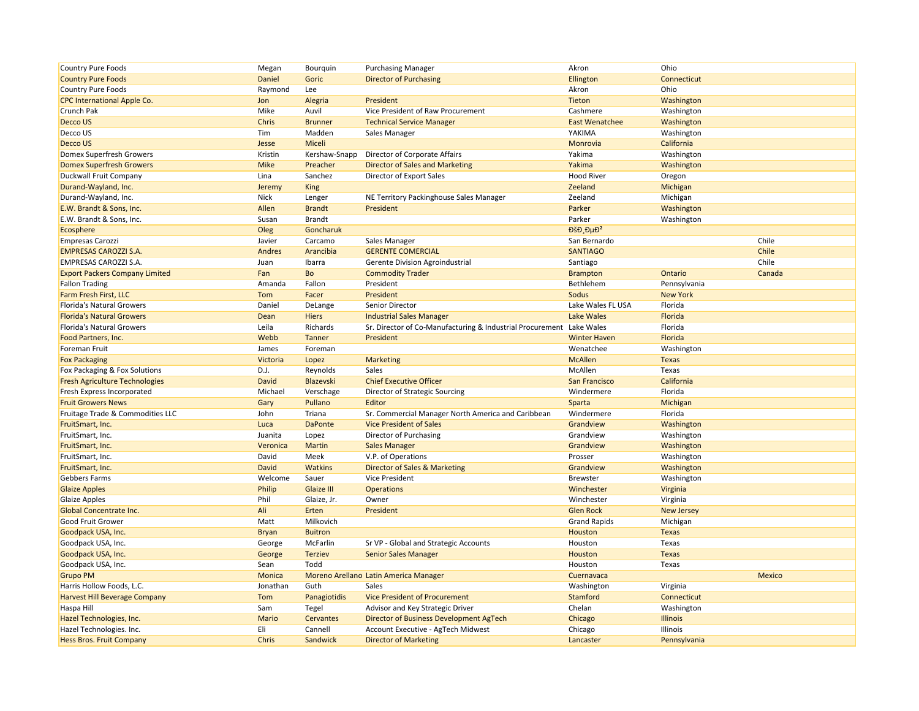| <b>Country Pure Foods</b>             | Megan        | Bourguin       | <b>Purchasing Manager</b>                                 | Akron                        | Ohio              |        |
|---------------------------------------|--------------|----------------|-----------------------------------------------------------|------------------------------|-------------------|--------|
| <b>Country Pure Foods</b>             | Daniel       | Goric          | <b>Director of Purchasing</b>                             | Ellington                    | Connecticut       |        |
| <b>Country Pure Foods</b>             | Raymond      | Lee            |                                                           | Akron                        | Ohio              |        |
| <b>CPC International Apple Co.</b>    | Jon          | Alegria        | President                                                 | Tieton                       | Washington        |        |
| Crunch Pak                            | Mike         | Auvil          | Vice President of Raw Procurement                         | Cashmere                     | Washington        |        |
| Decco US                              | Chris        | <b>Brunner</b> | <b>Technical Service Manager</b>                          | <b>East Wenatchee</b>        | Washington        |        |
| Decco US                              | Tim          | Madden         | Sales Manager                                             | YAKIMA                       | Washington        |        |
| Decco US                              | Jesse        | Miceli         |                                                           | Monrovia                     | California        |        |
| Domex Superfresh Growers              | Kristin      | Kershaw-Snapp  | Director of Corporate Affairs                             | Yakima                       | Washington        |        |
| <b>Domex Superfresh Growers</b>       | <b>Mike</b>  | Preacher       | <b>Director of Sales and Marketing</b>                    | Yakima                       | Washington        |        |
| Duckwall Fruit Company                | Lina         | Sanchez        | Director of Export Sales                                  | <b>Hood River</b>            | Oregon            |        |
| Durand-Wayland, Inc.                  | Jeremy       | <b>King</b>    |                                                           | Zeeland                      | Michigan          |        |
| Durand-Wayland, Inc.                  | Nick         | Lenger         | NE Territory Packinghouse Sales Manager                   | Zeeland                      | Michigan          |        |
| E.W. Brandt & Sons, Inc.              | Allen        | <b>Brandt</b>  | President                                                 | Parker                       | Washington        |        |
| E.W. Brandt & Sons, Inc.              | Susan        | <b>Brandt</b>  |                                                           | Parker                       | Washington        |        |
| Ecosphere                             | Oleg         | Goncharuk      |                                                           | $D\check{S}D \cdot D\mu D^2$ |                   |        |
| <b>Empresas Carozzi</b>               | Javier       | Carcamo        | Sales Manager                                             | San Bernardo                 |                   | Chile  |
| <b>EMPRESAS CAROZZI S.A.</b>          | Andres       | Arancibia      | <b>GERENTE COMERCIAL</b>                                  | <b>SANTIAGO</b>              |                   | Chile  |
| <b>EMPRESAS CAROZZI S.A.</b>          | Juan         | Ibarra         | Gerente Division Agroindustrial                           | Santiago                     |                   | Chile  |
| <b>Export Packers Company Limited</b> | Fan          | Bo             | <b>Commodity Trader</b>                                   | <b>Brampton</b>              | Ontario           | Canada |
| <b>Fallon Trading</b>                 | Amanda       | Fallon         | President                                                 | Bethlehem                    | Pennsylvania      |        |
| Farm Fresh First, LLC                 | Tom          | Facer          | President                                                 | Sodus                        | <b>New York</b>   |        |
| <b>Florida's Natural Growers</b>      | Daniel       | DeLange        | Senior Director                                           | Lake Wales FL USA            | Florida           |        |
| <b>Florida's Natural Growers</b>      | Dean         | <b>Hiers</b>   | <b>Industrial Sales Manager</b>                           | <b>Lake Wales</b>            | Florida           |        |
| <b>Florida's Natural Growers</b>      | Leila        | Richards       | Sr. Director of Co-Manufacturing & Industrial Procurement | Lake Wales                   | Florida           |        |
| Food Partners, Inc.                   | Webb         | Tanner         | President                                                 | <b>Winter Haven</b>          | Florida           |        |
| Foreman Fruit                         | James        | Foreman        |                                                           | Wenatchee                    | Washington        |        |
| <b>Fox Packaging</b>                  | Victoria     | Lopez          | <b>Marketing</b>                                          | <b>McAllen</b>               | <b>Texas</b>      |        |
| Fox Packaging & Fox Solutions         | D.J.         | Reynolds       | <b>Sales</b>                                              | McAllen                      | Texas             |        |
| <b>Fresh Agriculture Technologies</b> | <b>David</b> | Blazevski      | <b>Chief Executive Officer</b>                            | San Francisco                | California        |        |
| Fresh Express Incorporated            | Michael      | Verschage      | Director of Strategic Sourcing                            | Windermere                   | Florida           |        |
| <b>Fruit Growers News</b>             | Gary         | Pullano        | Editor                                                    | Sparta                       | Michigan          |        |
| Fruitage Trade & Commodities LLC      | John         | Triana         | Sr. Commercial Manager North America and Caribbean        | Windermere                   | Florida           |        |
| FruitSmart, Inc.                      | Luca         | <b>DaPonte</b> | <b>Vice President of Sales</b>                            | Grandview                    | Washington        |        |
| FruitSmart, Inc.                      | Juanita      | Lopez          | Director of Purchasing                                    | Grandview                    | Washington        |        |
| FruitSmart, Inc.                      | Veronica     | Martin         | <b>Sales Manager</b>                                      | Grandview                    | Washington        |        |
| FruitSmart, Inc.                      | David        | Meek           | V.P. of Operations                                        | Prosser                      | Washington        |        |
| FruitSmart, Inc.                      | David        | <b>Watkins</b> | Director of Sales & Marketing                             | Grandview                    | Washington        |        |
| <b>Gebbers Farms</b>                  | Welcome      | Sauer          | Vice President                                            | <b>Brewster</b>              | Washington        |        |
| <b>Glaize Apples</b>                  | Philip       | Glaize III     | <b>Operations</b>                                         | Winchester                   | Virginia          |        |
| <b>Glaize Apples</b>                  | Phil         | Glaize, Jr.    | Owner                                                     | Winchester                   | Virginia          |        |
| Global Concentrate Inc.               | Ali          | Erten          | President                                                 | <b>Glen Rock</b>             | <b>New Jersey</b> |        |
| Good Fruit Grower                     | Matt         | Milkovich      |                                                           | <b>Grand Rapids</b>          | Michigan          |        |
| Goodpack USA, Inc.                    | <b>Bryan</b> | <b>Buitron</b> |                                                           | Houston                      | <b>Texas</b>      |        |
| Goodpack USA, Inc.                    | George       | McFarlin       | Sr VP - Global and Strategic Accounts                     | Houston                      | Texas             |        |
| Goodpack USA, Inc.                    | George       | <b>Terziev</b> | <b>Senior Sales Manager</b>                               | Houston                      | <b>Texas</b>      |        |
| Goodpack USA, Inc.                    | Sean         | Todd           |                                                           | Houston                      | Texas             |        |
| <b>Grupo PM</b>                       | Monica       |                | Moreno Arellano Latin America Manager                     | Cuernavaca                   |                   | Mexico |
| Harris Hollow Foods, L.C.             | Jonathan     | Guth           | Sales                                                     | Washington                   | Virginia          |        |
| <b>Harvest Hill Beverage Company</b>  | Tom          | Panagiotidis   | <b>Vice President of Procurement</b>                      | Stamford                     | Connecticut       |        |
| Haspa Hill                            | Sam          | Tegel          | Advisor and Key Strategic Driver                          | Chelan                       | Washington        |        |
| Hazel Technologies, Inc.              | <b>Mario</b> | Cervantes      | Director of Business Development AgTech                   | Chicago                      | Illinois          |        |
| Hazel Technologies. Inc.              | Eli          | Cannell        | Account Executive - AgTech Midwest                        | Chicago                      | Illinois          |        |
| <b>Hess Bros. Fruit Company</b>       | Chris        | Sandwick       | <b>Director of Marketing</b>                              | Lancaster                    | Pennsylvania      |        |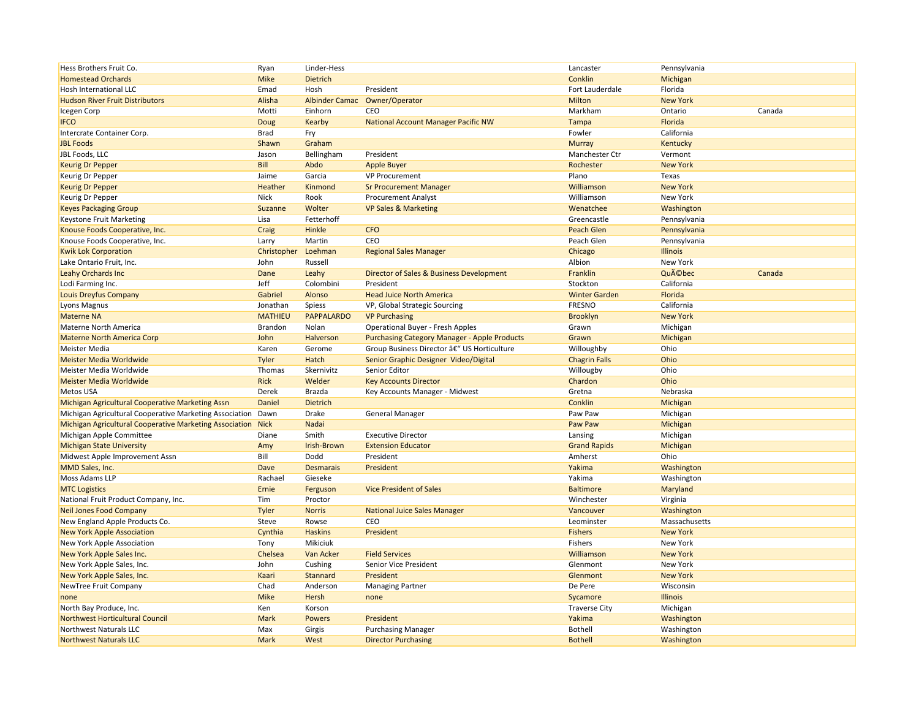| Hess Brothers Fruit Co.                                        | Ryan                | Linder-Hess           |                                                     | Lancaster            | Pennsylvania          |        |
|----------------------------------------------------------------|---------------------|-----------------------|-----------------------------------------------------|----------------------|-----------------------|--------|
| <b>Homestead Orchards</b>                                      | <b>Mike</b>         | Dietrich              |                                                     | Conklin              | Michigan              |        |
| Hosh International LLC                                         | Emad                | Hosh                  | President                                           | Fort Lauderdale      | Florida               |        |
| <b>Hudson River Fruit Distributors</b>                         | Alisha              | <b>Albinder Camac</b> | Owner/Operator                                      | <b>Milton</b>        | <b>New York</b>       |        |
| Icegen Corp                                                    | Motti               | Einhorn               | CEO                                                 | Markham              | Ontario               | Canada |
| <b>IFCO</b>                                                    | Doug                | Kearby                | <b>National Account Manager Pacific NW</b>          | Tampa                | Florida               |        |
| Intercrate Container Corp.                                     | Brad                | Fry                   |                                                     | Fowler               | California            |        |
| <b>JBL Foods</b>                                               | Shawn               | Graham                |                                                     | <b>Murray</b>        | Kentucky              |        |
| JBL Foods. LLC                                                 | Jason               | Bellingham            | President                                           | Manchester Ctr       | Vermont               |        |
| <b>Keurig Dr Pepper</b>                                        | Bill                | Abdo                  | <b>Apple Buyer</b>                                  | Rochester            | <b>New York</b>       |        |
| <b>Keurig Dr Pepper</b>                                        | Jaime               | Garcia                | <b>VP Procurement</b>                               | Plano                | Texas                 |        |
| <b>Keurig Dr Pepper</b>                                        | Heather             | Kinmond               | <b>Sr Procurement Manager</b>                       | Williamson           | <b>New York</b>       |        |
| Keurig Dr Pepper                                               | <b>Nick</b>         | Rook                  | <b>Procurement Analyst</b>                          | Williamson           | New York              |        |
| <b>Keyes Packaging Group</b>                                   | Suzanne             | Wolter                | <b>VP Sales &amp; Marketing</b>                     | Wenatchee            | Washington            |        |
| <b>Keystone Fruit Marketing</b>                                | Lisa                | Fetterhoff            |                                                     | Greencastle          | Pennsylvania          |        |
| Knouse Foods Cooperative, Inc.                                 | Craig               | Hinkle                | <b>CFO</b>                                          | <b>Peach Glen</b>    | Pennsylvania          |        |
| Knouse Foods Cooperative, Inc.                                 | Larry               | Martin                | CEO                                                 | Peach Glen           | Pennsylvania          |        |
| <b>Kwik Lok Corporation</b>                                    | Christopher Loehman |                       | <b>Regional Sales Manager</b>                       | Chicago              | Illinois              |        |
| Lake Ontario Fruit, Inc.                                       | John                | Russell               |                                                     | Albion               | New York              |        |
| <b>Leahy Orchards Inc</b>                                      | Dane                | Leahy                 | Director of Sales & Business Development            | <b>Franklin</b>      | Québec                | Canada |
|                                                                | Jeff                |                       | President                                           |                      |                       |        |
| Lodi Farming Inc.                                              | Gabriel             | Colombini             |                                                     | Stockton             | California<br>Florida |        |
| Louis Dreyfus Company                                          |                     | Alonso                | <b>Head Juice North America</b>                     | <b>Winter Garden</b> |                       |        |
| Lyons Magnus                                                   | Jonathan            | Spiess                | VP, Global Strategic Sourcing                       | <b>FRESNO</b>        | California            |        |
| <b>Materne NA</b>                                              | <b>MATHIEU</b>      | <b>PAPPALARDO</b>     | <b>VP Purchasing</b>                                | <b>Brooklyn</b>      | <b>New York</b>       |        |
| Materne North America                                          | Brandon             | Nolan                 | <b>Operational Buyer - Fresh Apples</b>             | Grawn                | Michigan              |        |
| <b>Materne North America Corp</b>                              | John                | Halverson             | <b>Purchasing Category Manager - Apple Products</b> | Grawn                | Michigan              |        |
| <b>Meister Media</b>                                           | Karen               | Gerome                | Group Business Director â€" US Horticulture         | Willoughby           | Ohio                  |        |
| <b>Meister Media Worldwide</b>                                 | Tyler               | Hatch                 | Senior Graphic Designer Video/Digital               | <b>Chagrin Falls</b> | Ohio                  |        |
| Meister Media Worldwide                                        | Thomas              | Skernivitz            | Senior Editor                                       | Willougby            | Ohio                  |        |
| <b>Meister Media Worldwide</b>                                 | <b>Rick</b>         | Welder                | <b>Key Accounts Director</b>                        | Chardon              | Ohio                  |        |
| <b>Metos USA</b>                                               | Derek               | Brazda                | Key Accounts Manager - Midwest                      | Gretna               | Nebraska              |        |
| Michigan Agricultural Cooperative Marketing Assn               | Daniel              | Dietrich              |                                                     | Conklin              | Michigan              |        |
| Michigan Agricultural Cooperative Marketing Association        | Dawn                | Drake                 | <b>General Manager</b>                              | Paw Paw              | Michigan              |        |
| <b>Michigan Agricultural Cooperative Marketing Association</b> | <b>Nick</b>         | Nadai                 |                                                     | Paw Paw              | Michigan              |        |
| Michigan Apple Committee                                       | Diane               | Smith                 | <b>Executive Director</b>                           | Lansing              | Michigan              |        |
| <b>Michigan State University</b>                               | Amy                 | Irish-Brown           | <b>Extension Educator</b>                           | <b>Grand Rapids</b>  | Michigan              |        |
| Midwest Apple Improvement Assn                                 | Bill                | Dodd                  | President                                           | Amherst              | Ohio                  |        |
| MMD Sales, Inc.                                                | Dave                | <b>Desmarais</b>      | President                                           | Yakima               | Washington            |        |
| Moss Adams LLP                                                 | Rachael             | Gieseke               |                                                     | Yakima               | Washington            |        |
| <b>MTC Logistics</b>                                           | Ernie               | Ferguson              | <b>Vice President of Sales</b>                      | <b>Baltimore</b>     | Maryland              |        |
| National Fruit Product Company, Inc.                           | Tim                 | Proctor               |                                                     | Winchester           | Virginia              |        |
| <b>Neil Jones Food Company</b>                                 | Tyler               | <b>Norris</b>         | <b>National Juice Sales Manager</b>                 | Vancouver            | Washington            |        |
| New England Apple Products Co.                                 | Steve               | Rowse                 | CEO                                                 | Leominster           | Massachusetts         |        |
| <b>New York Apple Association</b>                              | Cynthia             | <b>Haskins</b>        | President                                           | <b>Fishers</b>       | <b>New York</b>       |        |
| New York Apple Association                                     | Tony                | Mikiciuk              |                                                     | Fishers              | New York              |        |
| New York Apple Sales Inc.                                      | Chelsea             | Van Acker             | <b>Field Services</b>                               | Williamson           | <b>New York</b>       |        |
| New York Apple Sales, Inc.                                     | John                | Cushing               | Senior Vice President                               | Glenmont             | New York              |        |
| New York Apple Sales, Inc.                                     | Kaari               | Stannard              | President                                           | Glenmont             | <b>New York</b>       |        |
| NewTree Fruit Company                                          | Chad                | Anderson              | <b>Managing Partner</b>                             | De Pere              | Wisconsin             |        |
| none                                                           | <b>Mike</b>         | Hersh                 | none                                                | Sycamore             | Illinois              |        |
| North Bay Produce, Inc.                                        | Ken                 | Korson                |                                                     | <b>Traverse City</b> | Michigan              |        |
| <b>Northwest Horticultural Council</b>                         | Mark                | <b>Powers</b>         | President                                           | Yakima               | Washington            |        |
| Northwest Naturals LLC                                         | Max                 | Girgis                | <b>Purchasing Manager</b>                           | <b>Bothell</b>       | Washington            |        |
| <b>Northwest Naturals LLC</b>                                  | Mark                | West                  | <b>Director Purchasing</b>                          | <b>Bothell</b>       | Washington            |        |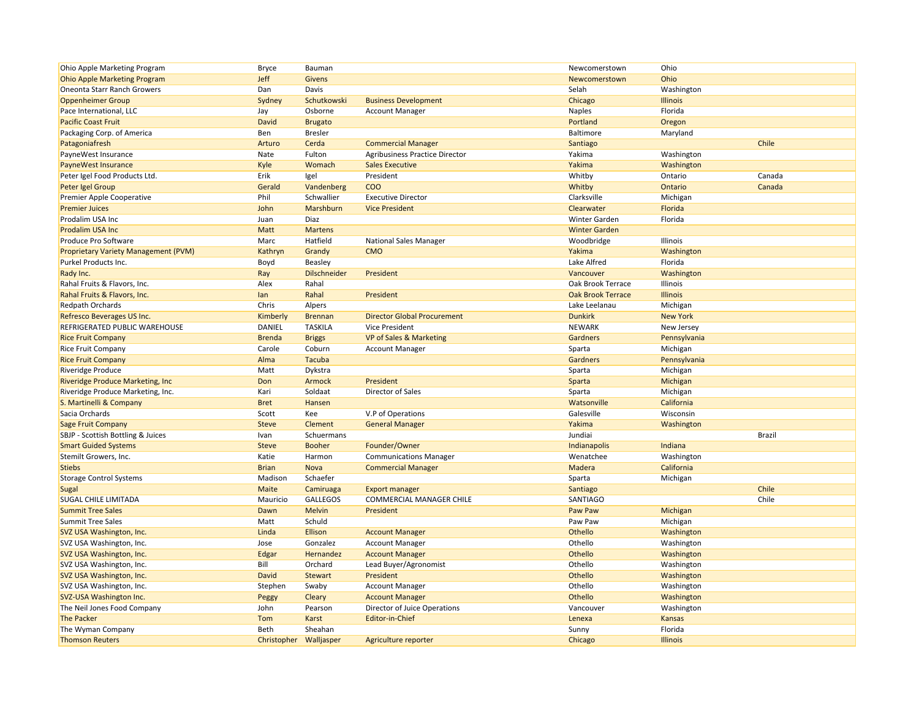| Ohio Apple Marketing Program                | <b>Bryce</b>           | Bauman              |                                       | Newcomerstown            | Ohio            |               |
|---------------------------------------------|------------------------|---------------------|---------------------------------------|--------------------------|-----------------|---------------|
| <b>Ohio Apple Marketing Program</b>         | Jeff                   | Givens              |                                       | Newcomerstown            | Ohio            |               |
| <b>Oneonta Starr Ranch Growers</b>          | Dan                    | Davis               |                                       | Selah                    | Washington      |               |
| <b>Oppenheimer Group</b>                    | Sydney                 | Schutkowski         | <b>Business Development</b>           | Chicago                  | <b>Illinois</b> |               |
| Pace International, LLC                     | Jay                    | Osborne             | <b>Account Manager</b>                | <b>Naples</b>            | Florida         |               |
| <b>Pacific Coast Fruit</b>                  | <b>David</b>           | <b>Brugato</b>      |                                       | Portland                 | Oregon          |               |
| Packaging Corp. of America                  | Ben                    | <b>Bresler</b>      |                                       | Baltimore                | Maryland        |               |
| Patagoniafresh                              | Arturo                 | Cerda               | <b>Commercial Manager</b>             | Santiago                 |                 | Chile         |
| PayneWest Insurance                         | Nate                   | Fulton              | <b>Agribusiness Practice Director</b> | Yakima                   | Washington      |               |
| <b>PayneWest Insurance</b>                  | Kyle                   | Womach              | <b>Sales Executive</b>                | Yakima                   | Washington      |               |
| Peter Igel Food Products Ltd.               | Erik                   | Igel                | President                             | Whitby                   | Ontario         | Canada        |
| Peter Igel Group                            | Gerald                 | Vandenberg          | <b>COO</b>                            | Whitby                   | Ontario         | Canada        |
| Premier Apple Cooperative                   | Phil                   | Schwallier          | <b>Executive Director</b>             | Clarksville              | Michigan        |               |
| <b>Premier Juices</b>                       | John                   | Marshburn           | <b>Vice President</b>                 | Clearwater               | Florida         |               |
| Prodalim USA Inc                            | Juan                   | Diaz                |                                       | Winter Garden            | Florida         |               |
| <b>Prodalim USA Inc</b>                     | Matt                   | <b>Martens</b>      |                                       | <b>Winter Garden</b>     |                 |               |
| Produce Pro Software                        | Marc                   | Hatfield            | <b>National Sales Manager</b>         | Woodbridge               | Illinois        |               |
| <b>Proprietary Variety Management (PVM)</b> | Kathryn                | Grandy              | <b>CMO</b>                            | Yakima                   | Washington      |               |
| Purkel Products Inc.                        | Boyd                   | Beasley             |                                       | Lake Alfred              | Florida         |               |
| Rady Inc.                                   | Ray                    | <b>Dilschneider</b> | President                             | Vancouver                | Washington      |               |
| Rahal Fruits & Flavors, Inc.                | Alex                   | Rahal               |                                       | Oak Brook Terrace        | Illinois        |               |
| Rahal Fruits & Flavors, Inc.                | lan                    | Rahal               | President                             | <b>Oak Brook Terrace</b> | <b>Illinois</b> |               |
| <b>Redpath Orchards</b>                     | Chris                  | Alpers              |                                       | Lake Leelanau            | Michigan        |               |
| Refresco Beverages US Inc.                  | Kimberly               | <b>Brennan</b>      | <b>Director Global Procurement</b>    | <b>Dunkirk</b>           | <b>New York</b> |               |
| REFRIGERATED PUBLIC WAREHOUSE               | DANIEL                 | <b>TASKILA</b>      | <b>Vice President</b>                 | <b>NEWARK</b>            | New Jersey      |               |
| <b>Rice Fruit Company</b>                   | <b>Brenda</b>          | <b>Briggs</b>       | <b>VP of Sales &amp; Marketing</b>    | Gardners                 | Pennsylvania    |               |
| <b>Rice Fruit Company</b>                   | Carole                 | Coburn              | <b>Account Manager</b>                | Sparta                   | Michigan        |               |
| <b>Rice Fruit Company</b>                   | Alma                   | Tacuba              |                                       | Gardners                 | Pennsylvania    |               |
| <b>Riveridge Produce</b>                    | Matt                   | Dykstra             |                                       | Sparta                   | Michigan        |               |
| Riveridge Produce Marketing, Inc.           | Don                    | Armock              | President                             | Sparta                   | Michigan        |               |
| Riveridge Produce Marketing, Inc.           | Kari                   | Soldaat             | Director of Sales                     | Sparta                   | Michigan        |               |
| S. Martinelli & Company                     | <b>Bret</b>            | Hansen              |                                       | Watsonville              | California      |               |
| Sacia Orchards                              | Scott                  | Kee                 | V.P of Operations                     | Galesville               | Wisconsin       |               |
| <b>Sage Fruit Company</b>                   | <b>Steve</b>           | Clement             | <b>General Manager</b>                | Yakima                   | Washington      |               |
| SBJP - Scottish Bottling & Juices           | Ivan                   | Schuermans          |                                       | Jundiai                  |                 | <b>Brazil</b> |
| <b>Smart Guided Systems</b>                 | <b>Steve</b>           | <b>Booher</b>       | Founder/Owner                         | Indianapolis             | Indiana         |               |
| Stemilt Growers, Inc.                       | Katie                  | Harmon              | <b>Communications Manager</b>         | Wenatchee                | Washington      |               |
| <b>Stiebs</b>                               | <b>Brian</b>           | Nova                | <b>Commercial Manager</b>             | Madera                   | California      |               |
| <b>Storage Control Systems</b>              | Madison                | Schaefer            |                                       | Sparta                   | Michigan        |               |
| Sugal                                       | Maite                  | Camiruaga           | <b>Export manager</b>                 | Santiago                 |                 | Chile         |
| <b>SUGAL CHILE LIMITADA</b>                 | Mauricio               | <b>GALLEGOS</b>     | COMMERCIAL MANAGER CHILE              | <b>SANTIAGO</b>          |                 | Chile         |
| <b>Summit Tree Sales</b>                    | Dawn                   | <b>Melvin</b>       | President                             | Paw Paw                  | Michigan        |               |
| <b>Summit Tree Sales</b>                    | Matt                   | Schuld              |                                       | Paw Paw                  | Michigan        |               |
| SVZ USA Washington, Inc.                    | Linda                  | Ellison             | <b>Account Manager</b>                | Othello                  | Washington      |               |
| SVZ USA Washington, Inc.                    | Jose                   | Gonzalez            | <b>Account Manager</b>                | Othello                  | Washington      |               |
| SVZ USA Washington, Inc.                    | Edgar                  | Hernandez           | <b>Account Manager</b>                | Othello                  | Washington      |               |
| SVZ USA Washington, Inc.                    | Bill                   | Orchard             | Lead Buyer/Agronomist                 | Othello                  | Washington      |               |
| SVZ USA Washington, Inc.                    | <b>David</b>           | <b>Stewart</b>      | President                             | Othello                  | Washington      |               |
| SVZ USA Washington, Inc.                    | Stephen                | Swaby               | <b>Account Manager</b>                | Othello                  | Washington      |               |
| SVZ-USA Washington Inc.                     | Peggy                  | Cleary              | <b>Account Manager</b>                | Othello                  | Washington      |               |
| The Neil Jones Food Company                 | John                   | Pearson             | Director of Juice Operations          | Vancouver                | Washington      |               |
| <b>The Packer</b>                           | Tom                    | Karst               | Editor-in-Chief                       | Lenexa                   | Kansas          |               |
| The Wyman Company                           | Beth                   | Sheahan             |                                       | Sunny                    | Florida         |               |
| <b>Thomson Reuters</b>                      | Christopher Walljasper |                     | Agriculture reporter                  | Chicago                  | <b>Illinois</b> |               |